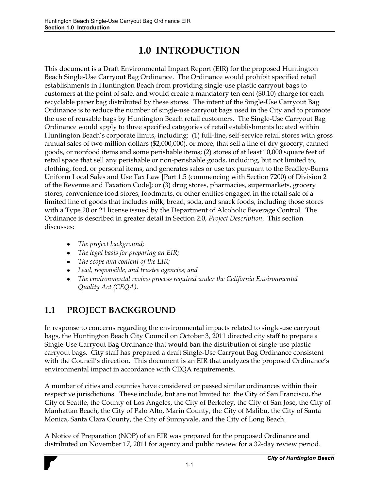# **1.0 INTRODUCTION**

This document is a Draft Environmental Impact Report (EIR) for the proposed Huntington Beach Single-Use Carryout Bag Ordinance. The Ordinance would prohibit specified retail establishments in Huntington Beach from providing single-use plastic carryout bags to customers at the point of sale, and would create a mandatory ten cent (\$0.10) charge for each recyclable paper bag distributed by these stores. The intent of the Single-Use Carryout Bag Ordinance is to reduce the number of single-use carryout bags used in the City and to promote the use of reusable bags by Huntington Beach retail customers. The Single-Use Carryout Bag Ordinance would apply to three specified categories of retail establishments located within Huntington Beach's corporate limits, including: (1) full-line, self-service retail stores with gross annual sales of two million dollars (\$2,000,000), or more, that sell a line of dry grocery, canned goods, or nonfood items and some perishable items; (2) stores of at least 10,000 square feet of retail space that sell any perishable or non-perishable goods, including, but not limited to, clothing, food, or personal items, and generates sales or use tax pursuant to the Bradley-Burns Uniform Local Sales and Use Tax Law [Part 1.5 (commencing with Section 7200) of Division 2 of the Revenue and Taxation Code]; or (3) drug stores, pharmacies, supermarkets, grocery stores, convenience food stores, foodmarts, or other entities engaged in the retail sale of a limited line of goods that includes milk, bread, soda, and snack foods, including those stores with a Type 20 or 21 license issued by the Department of Alcoholic Beverage Control. The Ordinance is described in greater detail in Section 2.0, *Project Description*. This section discusses:

- *The project background;*
- *The legal basis for preparing an EIR;*
- *The scope and content of the EIR;*
- *Lead, responsible, and trustee agencies; and*
- *The environmental review process required under the California Environmental Quality Act (CEQA).*

# **1.1 PROJECT BACKGROUND**

In response to concerns regarding the environmental impacts related to single-use carryout bags, the Huntington Beach City Council on October 3, 2011 directed city staff to prepare a Single-Use Carryout Bag Ordinance that would ban the distribution of single-use plastic carryout bags. City staff has prepared a draft Single-Use Carryout Bag Ordinance consistent with the Council's direction. This document is an EIR that analyzes the proposed Ordinance's environmental impact in accordance with CEQA requirements.

A number of cities and counties have considered or passed similar ordinances within their respective jurisdictions. These include, but are not limited to: the City of San Francisco, the City of Seattle, the County of Los Angeles, the City of Berkeley, the City of San Jose, the City of Manhattan Beach, the City of Palo Alto, Marin County, the City of Malibu, the City of Santa Monica, Santa Clara County, the City of Sunnyvale, and the City of Long Beach.

A Notice of Preparation (NOP) of an EIR was prepared for the proposed Ordinance and distributed on November 17, 2011 for agency and public review for a 32-day review period.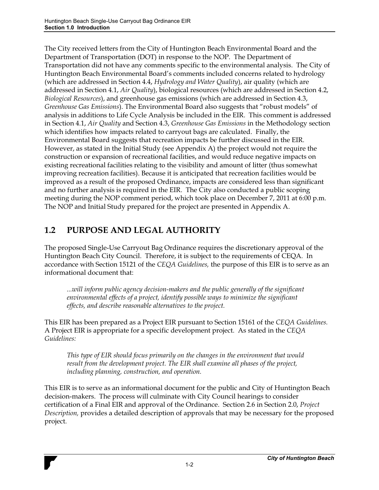The City received letters from the City of Huntington Beach Environmental Board and the Department of Transportation (DOT) in response to the NOP. The Department of Transportation did not have any comments specific to the environmental analysis. The City of Huntington Beach Environmental Board's comments included concerns related to hydrology (which are addressed in Section 4.4, *Hydrology and Water Quality*), air quality (which are addressed in Section 4.1, *Air Quality*), biological resources (which are addressed in Section 4.2, *Biological Resources*), and greenhouse gas emissions (which are addressed in Section 4.3, *Greenhouse Gas Emissions*). The Environmental Board also suggests that "robust models" of analysis in additions to Life Cycle Analysis be included in the EIR. This comment is addressed in Section 4.1, *Air Quality* and Section 4.3, *Greenhouse Gas Emissions* in the Methodology section which identifies how impacts related to carryout bags are calculated. Finally, the Environmental Board suggests that recreation impacts be further discussed in the EIR. However, as stated in the Initial Study (see Appendix A) the project would not require the construction or expansion of recreational facilities, and would reduce negative impacts on existing recreational facilities relating to the visibility and amount of litter (thus somewhat improving recreation facilities). Because it is anticipated that recreation facilities would be improved as a result of the proposed Ordinance, impacts are considered less than significant and no further analysis is required in the EIR. The City also conducted a public scoping meeting during the NOP comment period, which took place on December 7, 2011 at 6:00 p.m. The NOP and Initial Study prepared for the project are presented in Appendix A.

## **1.2 PURPOSE AND LEGAL AUTHORITY**

The proposed Single-Use Carryout Bag Ordinance requires the discretionary approval of the Huntington Beach City Council. Therefore, it is subject to the requirements of CEQA. In accordance with Section 15121 of the *CEQA Guidelines,* the purpose of this EIR is to serve as an informational document that:

*...will inform public agency decision-makers and the public generally of the significant environmental effects of a project, identify possible ways to minimize the significant effects, and describe reasonable alternatives to the project.* 

This EIR has been prepared as a Project EIR pursuant to Section 15161 of the *CEQA Guidelines.*  A Project EIR is appropriate for a specific development project. As stated in the *CEQA Guidelines:* 

*This type of EIR should focus primarily on the changes in the environment that would result from the development project. The EIR shall examine all phases of the project, including planning, construction, and operation.* 

This EIR is to serve as an informational document for the public and City of Huntington Beach decision-makers. The process will culminate with City Council hearings to consider certification of a Final EIR and approval of the Ordinance. Section 2.6 in Section 2.0, *Project Description,* provides a detailed description of approvals that may be necessary for the proposed project.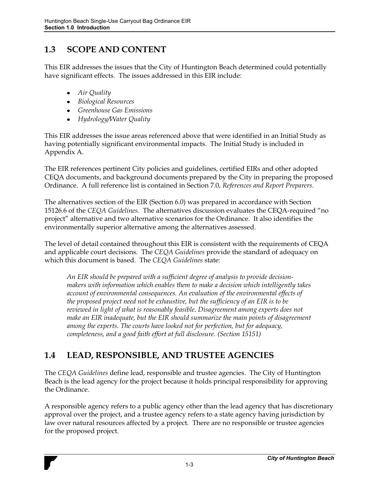#### **1.3 SCOPE AND CONTENT**

This EIR addresses the issues that the City of Huntington Beach determined could potentially have significant effects. The issues addressed in this EIR include:

- *Air Quality*
- *Biological Resources*
- *Greenhouse Gas Emissions*
- *Hydrology/Water Quality*

This EIR addresses the issue areas referenced above that were identified in an Initial Study as having potentially significant environmental impacts. The Initial Study is included in Appendix A.

The EIR references pertinent City policies and guidelines, certified EIRs and other adopted CEQA documents, and background documents prepared by the City in preparing the proposed Ordinance. A full reference list is contained in Section 7.0, *References and Report Preparers*.

The alternatives section of the EIR (Section 6.0) was prepared in accordance with Section 15126.6 of the *CEQA Guidelines*. The alternatives discussion evaluates the CEQA-required "no project" alternative and two alternative scenarios for the Ordinance. It also identifies the environmentally superior alternative among the alternatives assessed.

The level of detail contained throughout this EIR is consistent with the requirements of CEQA and applicable court decisions. The *CEQA Guidelines* provide the standard of adequacy on which this document is based. The *CEQA Guidelines* state:

*An EIR should be prepared with a sufficient degree of analysis to provide decisionmakers with information which enables them to make a decision which intelligently takes account of environmental consequences. An evaluation of the environmental effects of the proposed project need not be exhaustive, but the sufficiency of an EIR is to be reviewed in light of what is reasonably feasible. Disagreement among experts does not make an EIR inadequate, but the EIR should summarize the main points of disagreement among the experts. The courts have looked not for perfection, but for adequacy, completeness, and a good faith effort at full disclosure. (Section 15151)* 

# **1.4 LEAD, RESPONSIBLE, AND TRUSTEE AGENCIES**

The *CEQA Guidelines* define lead, responsible and trustee agencies. The City of Huntington Beach is the lead agency for the project because it holds principal responsibility for approving the Ordinance.

A responsible agency refers to a public agency other than the lead agency that has discretionary approval over the project, and a trustee agency refers to a state agency having jurisdiction by law over natural resources affected by a project. There are no responsible or trustee agencies for the proposed project.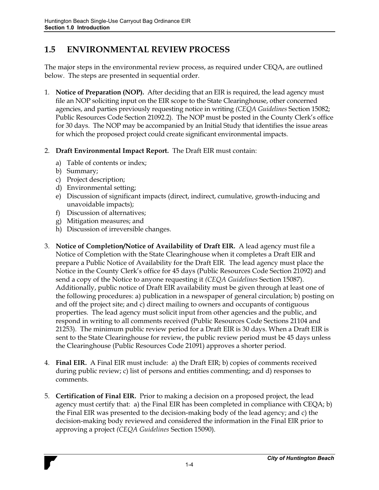## **1.5 ENVIRONMENTAL REVIEW PROCESS**

The major steps in the environmental review process, as required under CEQA, are outlined below. The steps are presented in sequential order.

- 1. **Notice of Preparation (NOP).** After deciding that an EIR is required, the lead agency must file an NOP soliciting input on the EIR scope to the State Clearinghouse, other concerned agencies, and parties previously requesting notice in writing *(CEQA Guidelines* Section 15082; Public Resources Code Section 21092.2). The NOP must be posted in the County Clerk's office for 30 days. The NOP may be accompanied by an Initial Study that identifies the issue areas for which the proposed project could create significant environmental impacts.
- 2. **Draft Environmental Impact Report.** The Draft EIR must contain:
	- a) Table of contents or index;
	- b) Summary;
	- c) Project description;
	- d) Environmental setting;
	- e) Discussion of significant impacts (direct, indirect, cumulative, growth-inducing and unavoidable impacts);
	- f) Discussion of alternatives;
	- g) Mitigation measures; and
	- h) Discussion of irreversible changes.
- 3. **Notice of Completion/Notice of Availability of Draft EIR.** A lead agency must file a Notice of Completion with the State Clearinghouse when it completes a Draft EIR and prepare a Public Notice of Availability for the Draft EIR. The lead agency must place the Notice in the County Clerk's office for 45 days (Public Resources Code Section 21092) and send a copy of the Notice to anyone requesting it *(CEQA Guidelines* Section 15087). Additionally, public notice of Draft EIR availability must be given through at least one of the following procedures: a) publication in a newspaper of general circulation; b) posting on and off the project site; and c) direct mailing to owners and occupants of contiguous properties. The lead agency must solicit input from other agencies and the public, and respond in writing to all comments received (Public Resources Code Sections 21104 and 21253). The minimum public review period for a Draft EIR is 30 days. When a Draft EIR is sent to the State Clearinghouse for review, the public review period must be 45 days unless the Clearinghouse (Public Resources Code 21091) approves a shorter period.
- 4. **Final EIR.** A Final EIR must include: a) the Draft EIR; b) copies of comments received during public review; c) list of persons and entities commenting; and d) responses to comments.
- 5. **Certification of Final EIR.** Prior to making a decision on a proposed project, the lead agency must certify that: a) the Final EIR has been completed in compliance with CEQA; b) the Final EIR was presented to the decision-making body of the lead agency; and c) the decision-making body reviewed and considered the information in the Final ElR prior to approving a project *(CEQA Guidelines* Section 15090).